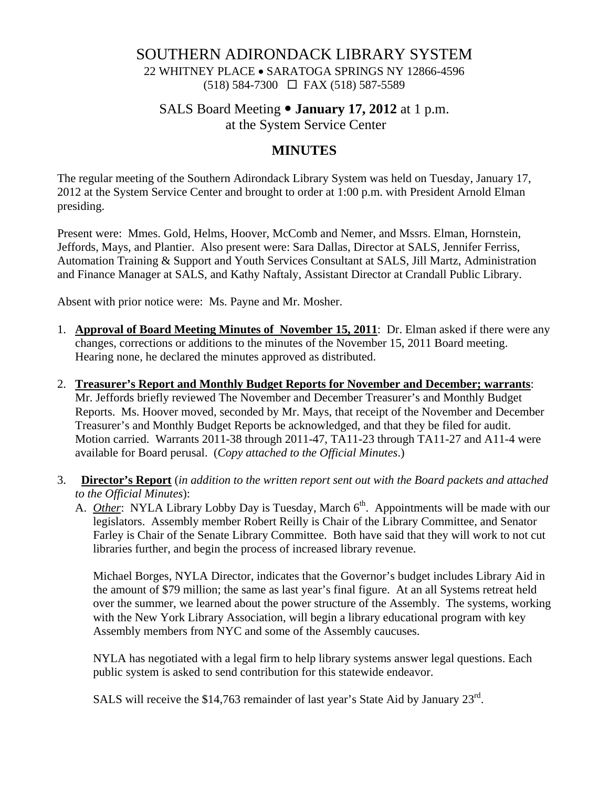## SOUTHERN ADIRONDACK LIBRARY SYSTEM

22 WHITNEY PLACE • SARATOGA SPRINGS NY 12866-4596 (518) 584-7300 FAX (518) 587-5589

### SALS Board Meeting • **January 17, 2012** at 1 p.m.

at the System Service Center

## **MINUTES**

The regular meeting of the Southern Adirondack Library System was held on Tuesday, January 17, 2012 at the System Service Center and brought to order at 1:00 p.m. with President Arnold Elman presiding.

Present were: Mmes. Gold, Helms, Hoover, McComb and Nemer, and Mssrs. Elman, Hornstein, Jeffords, Mays, and Plantier. Also present were: Sara Dallas, Director at SALS, Jennifer Ferriss, Automation Training & Support and Youth Services Consultant at SALS, Jill Martz, Administration and Finance Manager at SALS, and Kathy Naftaly, Assistant Director at Crandall Public Library.

Absent with prior notice were: Ms. Payne and Mr. Mosher.

- 1. **Approval of Board Meeting Minutes of November 15, 2011**: Dr. Elman asked if there were any changes, corrections or additions to the minutes of the November 15, 2011 Board meeting. Hearing none, he declared the minutes approved as distributed.
- 2. **Treasurer's Report and Monthly Budget Reports for November and December; warrants**: Mr. Jeffords briefly reviewed The November and December Treasurer's and Monthly Budget Reports. Ms. Hoover moved, seconded by Mr. Mays, that receipt of the November and December Treasurer's and Monthly Budget Reports be acknowledged, and that they be filed for audit. Motion carried. Warrants 2011-38 through 2011-47, TA11-23 through TA11-27 and A11-4 were available for Board perusal. (*Copy attached to the Official Minutes*.)
- 3. **Director's Report** (*in addition to the written report sent out with the Board packets and attached to the Official Minutes*):
	- A. *Other*: NYLA Library Lobby Day is Tuesday, March 6<sup>th</sup>. Appointments will be made with our legislators. Assembly member Robert Reilly is Chair of the Library Committee, and Senator Farley is Chair of the Senate Library Committee. Both have said that they will work to not cut libraries further, and begin the process of increased library revenue.

Michael Borges, NYLA Director, indicates that the Governor's budget includes Library Aid in the amount of \$79 million; the same as last year's final figure. At an all Systems retreat held over the summer, we learned about the power structure of the Assembly. The systems, working with the New York Library Association, will begin a library educational program with key Assembly members from NYC and some of the Assembly caucuses.

NYLA has negotiated with a legal firm to help library systems answer legal questions. Each public system is asked to send contribution for this statewide endeavor.

SALS will receive the \$14,763 remainder of last year's State Aid by January  $23^{\text{rd}}$ .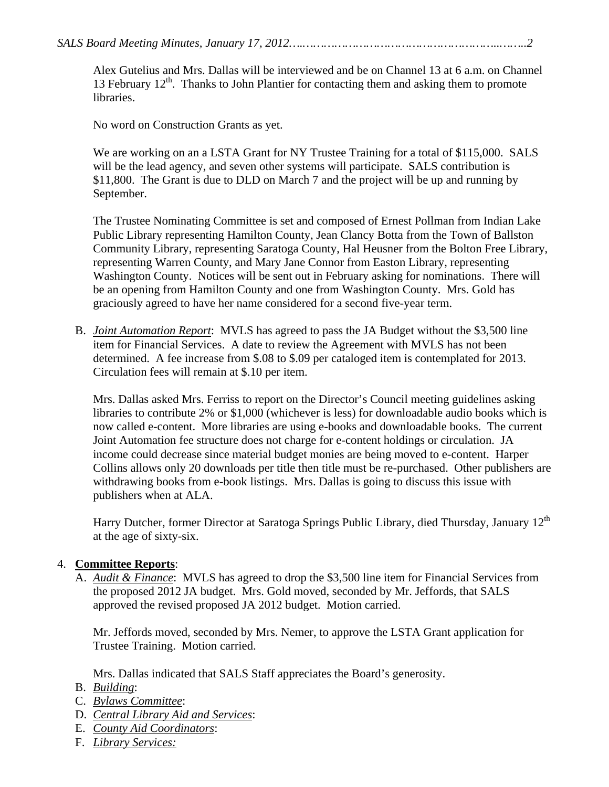Alex Gutelius and Mrs. Dallas will be interviewed and be on Channel 13 at 6 a.m. on Channel 13 February  $12<sup>th</sup>$ . Thanks to John Plantier for contacting them and asking them to promote libraries.

No word on Construction Grants as yet.

We are working on an a LSTA Grant for NY Trustee Training for a total of \$115,000. SALS will be the lead agency, and seven other systems will participate. SALS contribution is \$11,800. The Grant is due to DLD on March 7 and the project will be up and running by September.

The Trustee Nominating Committee is set and composed of Ernest Pollman from Indian Lake Public Library representing Hamilton County, Jean Clancy Botta from the Town of Ballston Community Library, representing Saratoga County, Hal Heusner from the Bolton Free Library, representing Warren County, and Mary Jane Connor from Easton Library, representing Washington County. Notices will be sent out in February asking for nominations. There will be an opening from Hamilton County and one from Washington County. Mrs. Gold has graciously agreed to have her name considered for a second five-year term.

B. *Joint Automation Report*: MVLS has agreed to pass the JA Budget without the \$3,500 line item for Financial Services. A date to review the Agreement with MVLS has not been determined. A fee increase from \$.08 to \$.09 per cataloged item is contemplated for 2013. Circulation fees will remain at \$.10 per item.

Mrs. Dallas asked Mrs. Ferriss to report on the Director's Council meeting guidelines asking libraries to contribute 2% or \$1,000 (whichever is less) for downloadable audio books which is now called e-content. More libraries are using e-books and downloadable books. The current Joint Automation fee structure does not charge for e-content holdings or circulation. JA income could decrease since material budget monies are being moved to e-content. Harper Collins allows only 20 downloads per title then title must be re-purchased. Other publishers are withdrawing books from e-book listings. Mrs. Dallas is going to discuss this issue with publishers when at ALA.

Harry Dutcher, former Director at Saratoga Springs Public Library, died Thursday, January 12<sup>th</sup> at the age of sixty-six.

#### 4. **Committee Reports**:

A. *Audit & Finance*: MVLS has agreed to drop the \$3,500 line item for Financial Services from the proposed 2012 JA budget. Mrs. Gold moved, seconded by Mr. Jeffords, that SALS approved the revised proposed JA 2012 budget. Motion carried.

Mr. Jeffords moved, seconded by Mrs. Nemer, to approve the LSTA Grant application for Trustee Training. Motion carried.

Mrs. Dallas indicated that SALS Staff appreciates the Board's generosity.

- B. *Building*:
- C. *Bylaws Committee*:
- D. *Central Library Aid and Services*:
- E. *County Aid Coordinators*:
- F. *Library Services:*